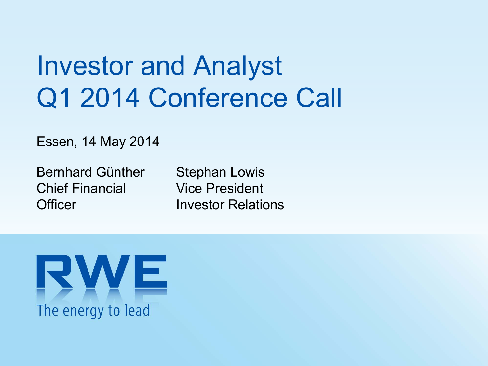# Investor and Analyst Q1 2014 Conference Call

Essen, 14 May 2014

Bernhard Günther Chief FinancialOfficer

Stephan Lowis Vice PresidentInvestor Relations

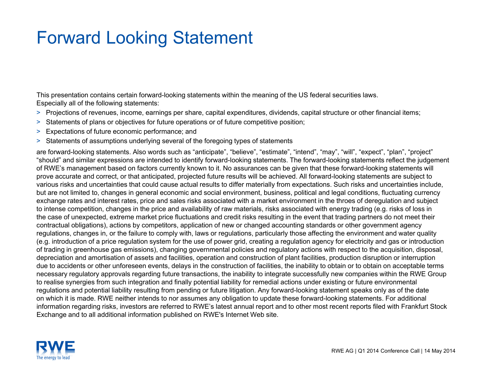#### Forward Looking Statement

This presentation contains certain forward-looking statements within the meaning of the US federal securities laws. Especially all of the following statements:

- > Projections of revenues, income, earnings per share, capital expenditures, dividends, capital structure or other financial items;
- > Statements of plans or objectives for future operations or of future competitive position;
- > Expectations of future economic performance; and
- > Statements of assumptions underlying several of the foregoing types of statements

are forward-looking statements. Also words such as "anticipate", "believe", "estimate", "intend", "may", "will", "expect", "plan", "project" "should" and similar expressions are intended to identify forward-looking statements. The forward-looking statements reflect the judgement of RWE's management based on factors currently known to it. No assurances can be given that these forward-looking statements will prove accurate and correct, or that anticipated, projected future results will be achieved. All forward-looking statements are subject to various risks and uncertainties that could cause actual results to differ materially from expectations. Such risks and uncertainties include, but are not limited to, changes in general economic and social environment, business, political and legal conditions, fluctuating currency exchange rates and interest rates, price and sales risks associated with a market environment in the throes of deregulation and subject to intense competition, changes in the price and availability of raw materials, risks associated with energy trading (e.g. risks of loss in the case of unexpected, extreme market price fluctuations and credit risks resulting in the event that trading partners do not meet their contractual obligations), actions by competitors, application of new or changed accounting standards or other government agency regulations, changes in, or the failure to comply with, laws or regulations, particularly those affecting the environment and water quality (e.g. introduction of a price regulation system for the use of power grid, creating a regulation agency for electricity and gas or introduction of trading in greenhouse gas emissions), changing governmental policies and regulatory actions with respect to the acquisition, disposal, depreciation and amortisation of assets and facilities, operation and construction of plant facilities, production disruption or interruption due to accidents or other unforeseen events, delays in the construction of facilities, the inability to obtain or to obtain on acceptable terms necessary regulatory approvals regarding future transactions, the inability to integrate successfully new companies within the RWE Group to realise synergies from such integration and finally potential liability for remedial actions under existing or future environmental regulations and potential liability resulting from pending or future litigation. Any forward-looking statement speaks only as of the date on which it is made. RWE neither intends to nor assumes any obligation to update these forward-looking statements. For additional information regarding risks, investors are referred to RWE's latest annual report and to other most recent reports filed with Frankfurt Stock Exchange and to all additional information published on RWE's Internet Web site.

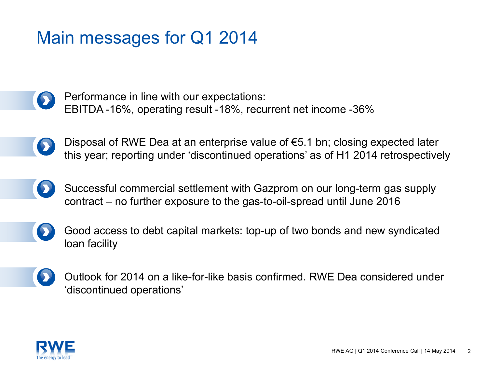#### Main messages for Q1 2014

Performance in line with our expectations: D EBITDA -16%, operating result -18%, recurrent net income -36%

- Disposal of RWE Dea at an enterprise value of €5.1 bn; closing expected later this year; reporting under 'discontinued operations' as of H1 2014 retrospectively
- Successful commercial settlement with Gazprom on our long-term gas supply contract – no further exposure to the gas-to-oil-spread until June 2016
	- Good access to debt capital markets: top-up of two bonds and new syndicated loan facility
- Outlook for 2014 on a like-for-like basis confirmed. RWE Dea considered under 'discontinued operations'

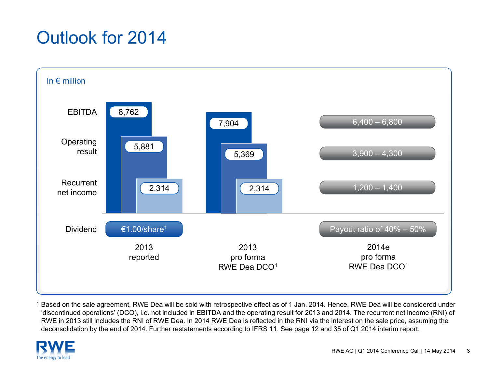### Outlook for 2014



1 Based on the sale agreement, RWE Dea will be sold with retrospective effect as of 1 Jan. 2014. Hence, RWE Dea will be considered under 'discontinued operations' (DCO), i.e. not included in EBITDA and the operating result for 2013 and 2014. The recurrent net income (RNI) of RWE in 2013 still includes the RNI of RWE Dea. In 2014 RWE Dea is reflected in the RNI via the interest on the sale price, assuming the deconsolidation by the end of 2014. Further restatements according to IFRS 11. See page 12 and 35 of Q1 2014 interim report.

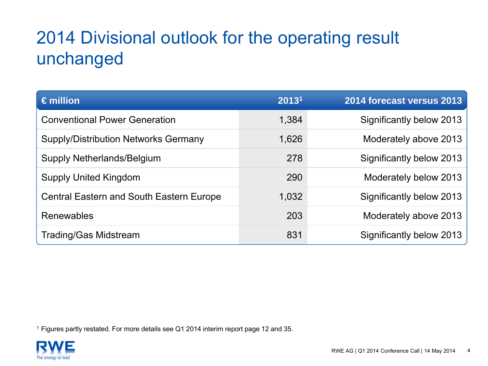### 2014 Divisional outlook for the operating result unchanged

| $\epsilon$ million                              | 20131 | 2014 forecast versus 2013 |
|-------------------------------------------------|-------|---------------------------|
| <b>Conventional Power Generation</b>            | 1,384 | Significantly below 2013  |
| <b>Supply/Distribution Networks Germany</b>     | 1,626 | Moderately above 2013     |
| Supply Netherlands/Belgium                      | 278   | Significantly below 2013  |
| <b>Supply United Kingdom</b>                    | 290   | Moderately below 2013     |
| <b>Central Eastern and South Eastern Europe</b> | 1,032 | Significantly below 2013  |
| Renewables                                      | 203   | Moderately above 2013     |
| <b>Trading/Gas Midstream</b>                    | 831   | Significantly below 2013  |

1 Figures partly restated. For more details see Q1 2014 interim report page 12 and 35.

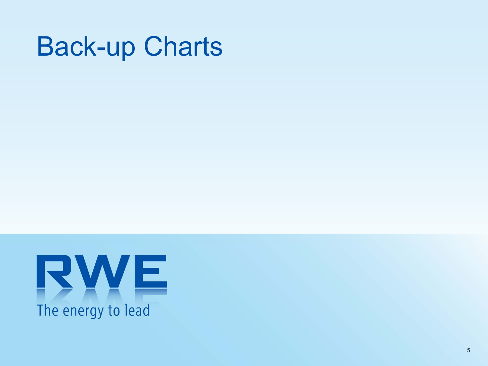# Back-up Charts

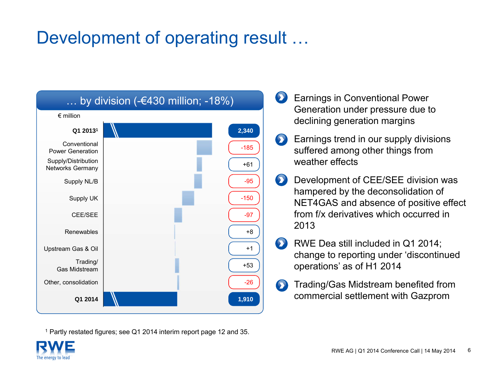#### Development of operating result …



<sup>1</sup> Partly restated figures; see Q1 2014 interim report page 12 and 35.

- Earnings in Conventional Power  $\bullet$ Generation under pressure due to declining generation margins
- Earnings trend in our supply divisions  $\bullet$ suffered among other things from weather effects
- $\bullet$ Development of CEE/SEE division was hampered by the deconsolidation of NET4GAS and absence of positive effect from f/x derivatives which occurred in 2013
- $\bullet$ RWE Dea still included in Q1 2014; change to reporting under 'discontinued operations' as of H1 2014
- Trading/Gas Midstream benefited from  $\bullet$ commercial settlement with Gazprom

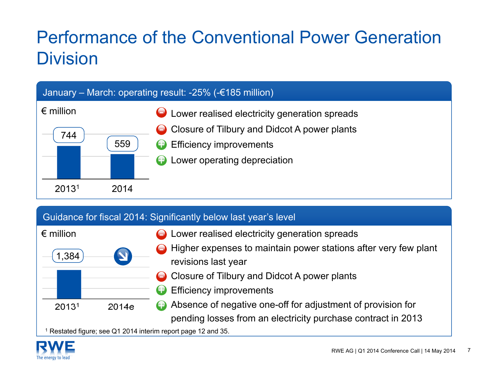### Performance of the Conventional Power Generation **Division**



| Guidance for fiscal 2014: Significantly below last year's level |  |  |
|-----------------------------------------------------------------|--|--|
|                                                                 |  |  |



- Lower realised electricity generation spreads
- Higher expenses to maintain power stations after very few plant revisions last year
- Closure of Tilbury and Didcot A power plants
- Efficiency improvements +
- Absence of negative one-off for adjustment of provision for pending losses from an electricity purchase contract in 2013 +

<sup>1</sup> Restated figure; see Q1 2014 interim report page 12 and 35.

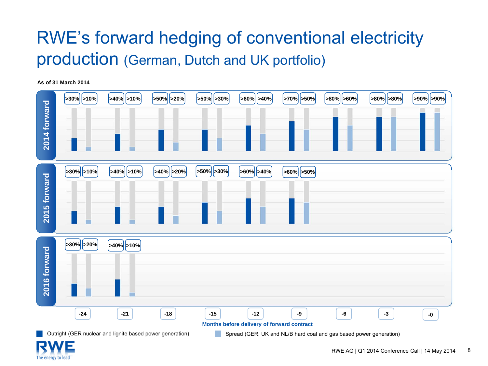#### RWE's forward hedging of conventional electricity production (German, Dutch and UK portfolio)

**As of 31 March 2014**



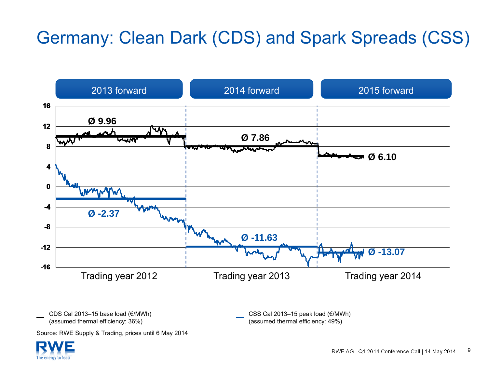### Germany: Clean Dark (CDS) and Spark Spreads (CSS)



(assumed thermal efficiency: 36%)

(assumed thermal efficiency: 49%)

Source: RWE Supply & Trading, prices until 6 May 2014

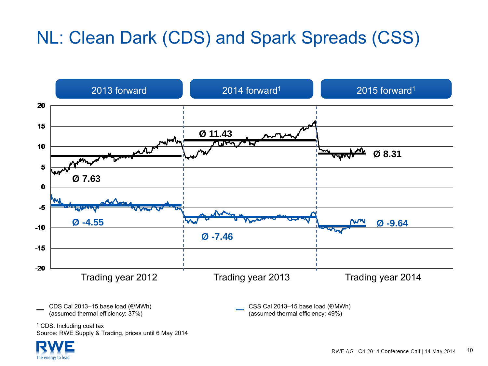### NL: Clean Dark (CDS) and Spark Spreads (CSS)



(assumed thermal efficiency: 37%)

(assumed thermal efficiency: 49%)

<sup>1</sup> CDS: Including coal tax Source: RWE Supply & Trading, prices until 6 May 2014

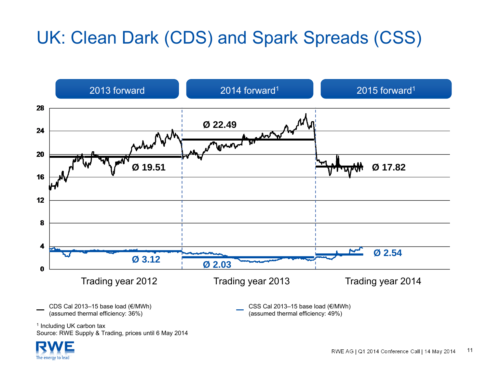### UK: Clean Dark (CDS) and Spark Spreads (CSS)



<sup>1</sup> Including UK carbon tax Source: RWE Supply & Trading, prices until 6 May 2014

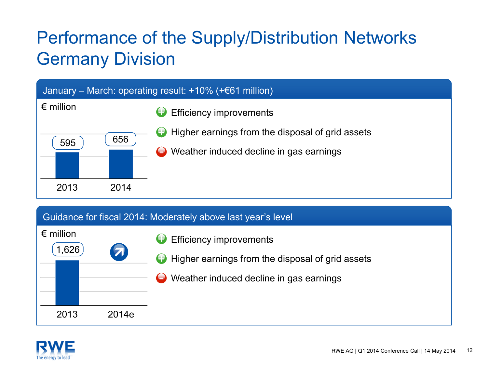### Performance of the Supply/Distribution Networks Germany Division



#### Guidance for fiscal 2014: Moderately above last year's level

| $\epsilon$ million<br>.626، | 5     | Efficiency improvements<br>Higher earnings from the disposal of grid assets<br>Weather induced decline in gas earnings |
|-----------------------------|-------|------------------------------------------------------------------------------------------------------------------------|
| 2013                        | 2014e |                                                                                                                        |

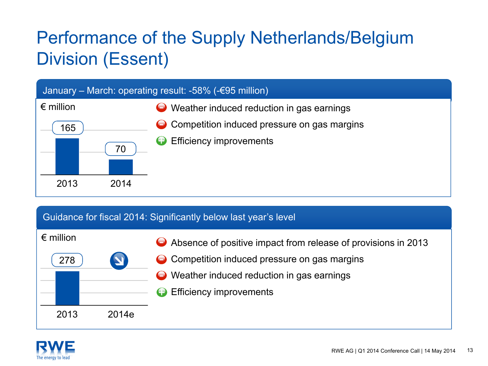### Performance of the Supply Netherlands/Belgium Division (Essent)



#### Guidance for fiscal 2014: Significantly below last year's level

| $\epsilon$ million |                         | Absence of positive impact from release of provisions in 2013 |
|--------------------|-------------------------|---------------------------------------------------------------|
| 278                | $\overline{\mathbf{v}}$ | • Competition induced pressure on gas margins                 |
|                    |                         | ◯ Weather induced reduction in gas earnings                   |
|                    |                         | <b>Efficiency improvements</b><br>ŒÐ                          |
| 2013               | 2014e                   |                                                               |

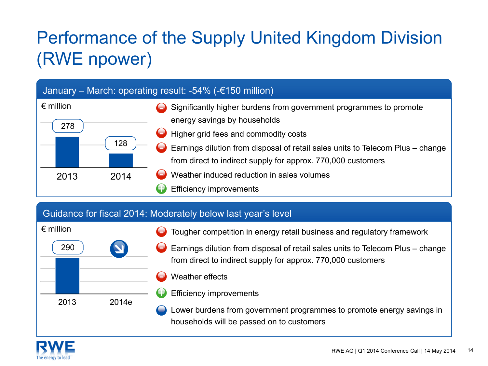## Performance of the Supply United Kingdom Division (RWE npower)

#### January – March: operating result: -54% (-€150 million)



#### Guidance for fiscal 2014: Moderately below last year's level



- Tougher competition in energy retail business and regulatory framework
- Earnings dilution from disposal of retail sales units to Telecom Plus change from direct to indirect supply for approx. 770,000 customers
- Weather effects
- Efficiency improvements

Lower burdens from government programmes to promote energy savings in households will be passed on to customers

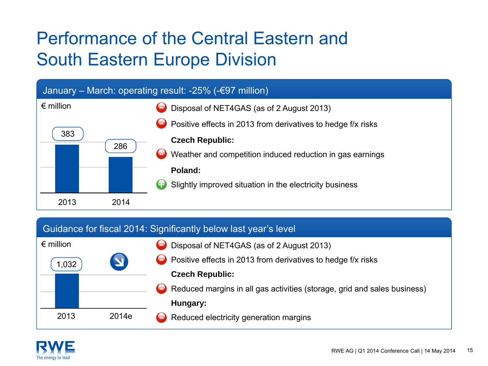### Performance of the Central Eastern andSouth Eastern Europe Division



#### Guidance for fiscal 2014: Significantly below last year's level

| $\epsilon$ million |                       | Disposal of NET4GAS (as of 2 August 2013)                                |
|--------------------|-----------------------|--------------------------------------------------------------------------|
| 1,032              | $\blacktriangleright$ | $\bigodot$ Positive effects in 2013 from derivatives to hedge f/x risks  |
|                    |                       | <b>Czech Republic:</b>                                                   |
|                    |                       | Reduced margins in all gas activities (storage, grid and sales business) |
|                    |                       | Hungary:                                                                 |
| 2013               | 2014e                 | Reduced electricity generation margins                                   |

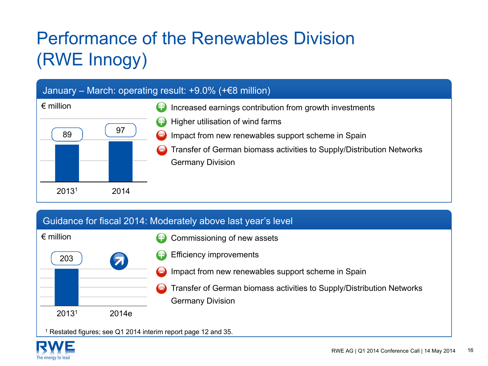## Performance of the Renewables Division(RWE Innogy)

#### January – March: operating result: +9.0% (+€8 million) € million Increased earnings contribution from growth investments Higher utilisation of wind farms Impact from new renewables support scheme in Spain Transfer of German biomass activities to Supply/Distribution Networks Germany Division 8920131 201497++

#### Guidance for fiscal 2014: Moderately above last year's level

| $\epsilon$ million |                      | Commissioning of new assets<br>Œ                                                |
|--------------------|----------------------|---------------------------------------------------------------------------------|
| 203                | $\blacktriangledown$ | <b>Efficiency improvements</b><br>Ŧ                                             |
|                    |                      | Impact from new renewables support scheme in Spain<br>$\bullet$                 |
|                    |                      | Transfer of German biomass activities to Supply/Distribution Networks<br>$\Box$ |
|                    |                      | <b>Germany Division</b>                                                         |
| 20131              | 2014e                |                                                                                 |

<sup>1</sup> Restated figures; see Q1 2014 interim report page 12 and 35.

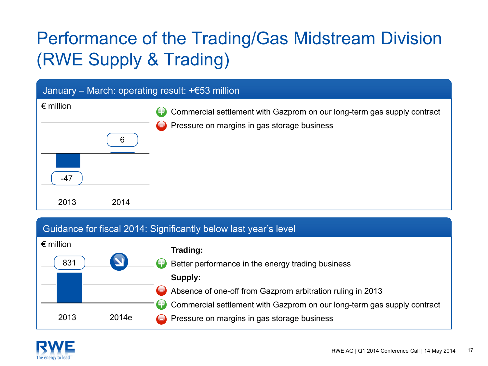## Performance of the Trading/Gas Midstream Division (RWE Supply & Trading)

#### January – March: operating result: +€53 million € million Commercial settlement with Gazprom on our long-term gas supply contract Pressure on margins in gas storage business 2013 2014+-476

#### Guidance for fiscal 2014: Significantly below last year's level

| $\epsilon$ million<br>831 |       | Trading:<br>Better performance in the energy trading business<br>Supply:                                                                                                               |
|---------------------------|-------|----------------------------------------------------------------------------------------------------------------------------------------------------------------------------------------|
| 2013                      | 2014e | Absence of one-off from Gazprom arbitration ruling in 2013<br>Commercial settlement with Gazprom on our long-term gas supply contract<br>◯ Pressure on margins in gas storage business |

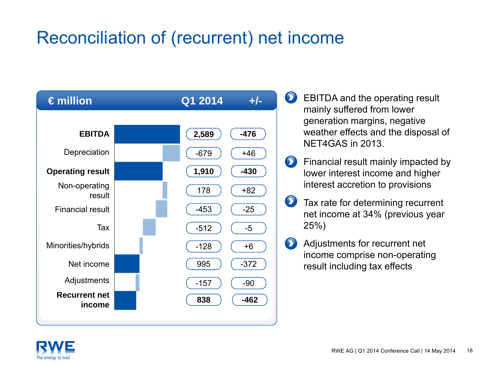#### Reconciliation of (recurrent) net income



- $\bullet$ EBITDA and the operating result mainly suffered from lower generation margins, negative weather effects and the disposal of NET4GAS in 2013.
- $\bullet$ Financial result mainly impacted by lower interest income and higher interest accretion to provisions
- $\bullet$ Tax rate for determining recurrent net income at 34% (previous year 25%)
- $\bullet$ Adjustments for recurrent net income comprise non-operating result including tax effects

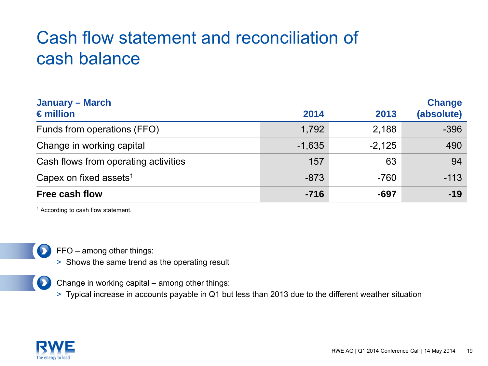#### Cash flow statement and reconciliation of cash balance

| <b>January – March</b><br>$\epsilon$ million | 2014     | 2013     | <b>Change</b><br>(absolute) |
|----------------------------------------------|----------|----------|-----------------------------|
| Funds from operations (FFO)                  | 1,792    | 2,188    | $-396$                      |
| Change in working capital                    | $-1,635$ | $-2,125$ | 490                         |
| Cash flows from operating activities         | 157      | 63       | 94                          |
| Capex on fixed assets <sup>1</sup>           | $-873$   | $-760$   | $-113$                      |
| <b>Free cash flow</b>                        | $-716$   | -697     | $-19$                       |

<sup>1</sup> According to cash flow statement.



FFO – among other things:

> Shows the same trend as the operating result



Change in working capital – among other things:

> Typical increase in accounts payable in Q1 but less than 2013 due to the different weather situation

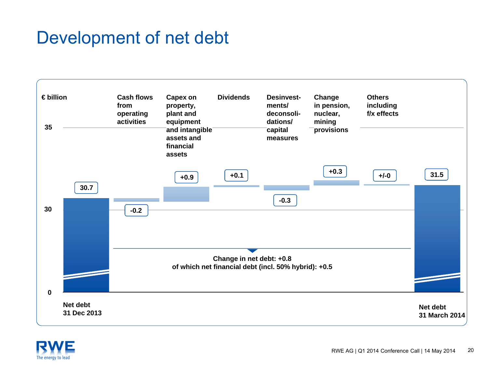#### Development of net debt



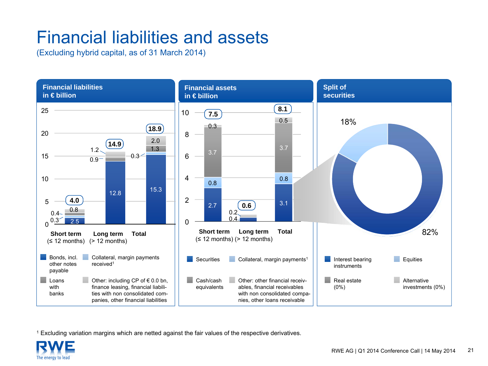#### Financial liabilities and assets

(Excluding hybrid capital, as of 31 March 2014)



1 Excluding variation margins which are netted against the fair values of the respective derivatives.

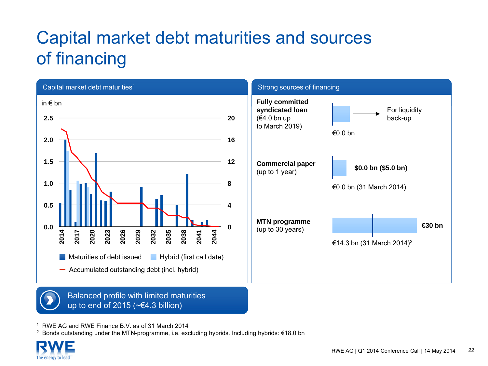### Capital market debt maturities and sources of financing





Balanced profile with limited maturities up to end of 2015 (~€4.3 billion)

1 RWE AG and RWE Finance B.V. as of 31 March 2014

 $^2$  Bonds outstanding under the MTN-programme, i.e. excluding hybrids. Including hybrids: €18.0 bn

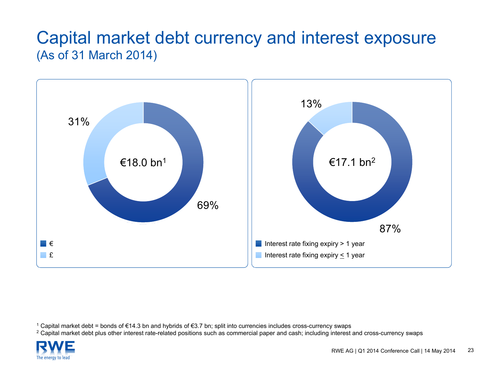#### Capital market debt currency and interest exposure (As of 31 March 2014)



1 Capital market debt = bonds of €14.3 bn and hybrids of €3.7 bn; split into currencies includes cross-currency swaps

 $^{\rm 2}$  Capital market debt plus other interest rate-related positions such as commercial paper and cash; including interest and cross-currency swaps

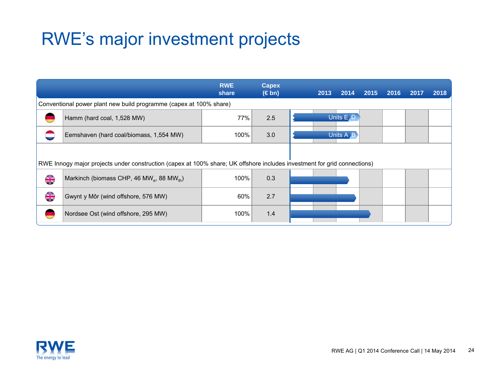#### RWE's major investment projects

|                                                                                                                          |                                                                    | <b>RWE</b><br>share | <b>Capex</b><br>$(\in$ bn) |  | 2013                 | 2014      | 2015 | 2016 | 2017 | 2018 |
|--------------------------------------------------------------------------------------------------------------------------|--------------------------------------------------------------------|---------------------|----------------------------|--|----------------------|-----------|------|------|------|------|
|                                                                                                                          | Conventional power plant new build programme (capex at 100% share) |                     |                            |  |                      |           |      |      |      |      |
|                                                                                                                          | Hamm (hard coal, 1,528 MW)                                         | 77%                 | 2.5                        |  | Units E <sub>D</sub> |           |      |      |      |      |
|                                                                                                                          | Eemshaven (hard coal/biomass, 1,554 MW)                            | 100%                | 3.0                        |  |                      | Units A B |      |      |      |      |
| RWE Innogy major projects under construction (capex at 100% share; UK offshore includes investment for grid connections) |                                                                    |                     |                            |  |                      |           |      |      |      |      |
| <b>SIA</b>                                                                                                               | Markinch (biomass CHP, 46 MW <sub>e</sub> , 88 MW <sub>th</sub> )  | 100%                | 0.3                        |  |                      |           |      |      |      |      |
| $rac{\sqrt{N}}{N}$                                                                                                       | Gwynt y Môr (wind offshore, 576 MW)                                | 60%                 | 2.7                        |  |                      |           |      |      |      |      |
|                                                                                                                          | Nordsee Ost (wind offshore, 295 MW)                                | 100%                | 1.4                        |  |                      |           |      |      |      |      |